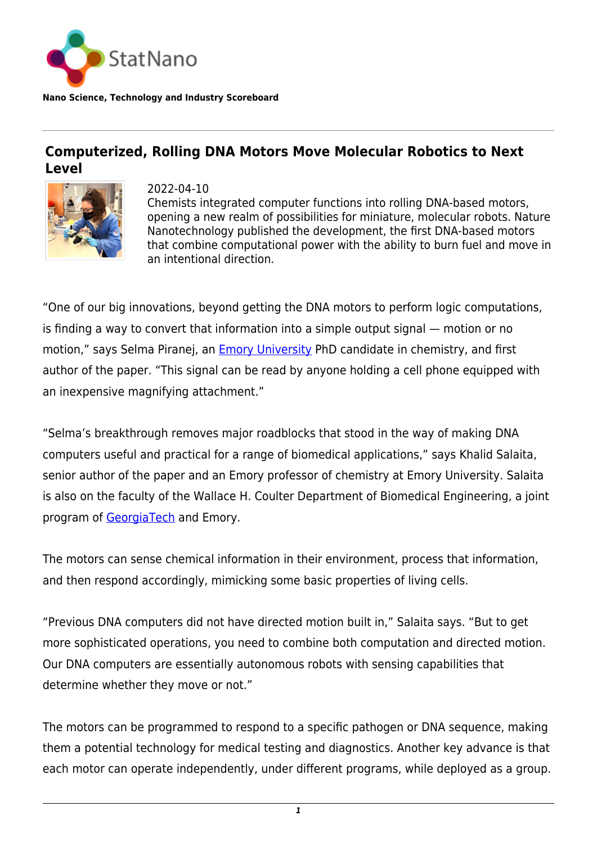

**Nano Science, Technology and Industry Scoreboard**

## **Computerized, Rolling DNA Motors Move Molecular Robotics to Next Level**



2022-04-10 Chemists integrated computer functions into rolling DNA-based motors, opening a new realm of possibilities for miniature, molecular robots. Nature Nanotechnology published the development, the first DNA-based motors that combine computational power with the ability to burn fuel and move in an intentional direction.

"One of our big innovations, beyond getting the DNA motors to perform logic computations, is finding a way to convert that information into a simple output signal — motion or no motion," says Selma Piranej, an **Emory University PhD** candidate in chemistry, and first author of the paper. "This signal can be read by anyone holding a cell phone equipped with an inexpensive magnifying attachment."

"Selma's breakthrough removes major roadblocks that stood in the way of making DNA computers useful and practical for a range of biomedical applications," says Khalid Salaita, senior author of the paper and an Emory professor of chemistry at Emory University. Salaita is also on the faculty of the Wallace H. Coulter Department of Biomedical Engineering, a joint program of [GeorgiaTech](https://statnano.com/org/Georgia-Institute-of-Technology) and Emory.

The motors can sense chemical information in their environment, process that information, and then respond accordingly, mimicking some basic properties of living cells.

"Previous DNA computers did not have directed motion built in," Salaita says. "But to get more sophisticated operations, you need to combine both computation and directed motion. Our DNA computers are essentially autonomous robots with sensing capabilities that determine whether they move or not."

The motors can be programmed to respond to a specific pathogen or DNA sequence, making them a potential technology for medical testing and diagnostics. Another key advance is that each motor can operate independently, under different programs, while deployed as a group.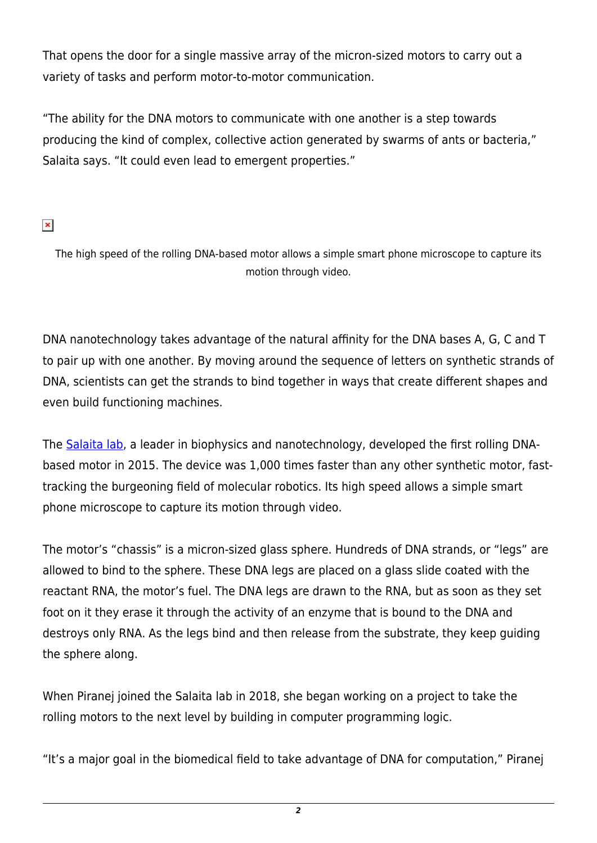That opens the door for a single massive array of the micron-sized motors to carry out a variety of tasks and perform motor-to-motor communication.

"The ability for the DNA motors to communicate with one another is a step towards producing the kind of complex, collective action generated by swarms of ants or bacteria," Salaita says. "It could even lead to emergent properties."

## $\pmb{\times}$

The high speed of the rolling DNA-based motor allows a simple smart phone microscope to capture its motion through video.

DNA nanotechnology takes advantage of the natural affinity for the DNA bases A, G, C and T to pair up with one another. By moving around the sequence of letters on synthetic strands of DNA, scientists can get the strands to bind together in ways that create different shapes and even build functioning machines.

The [Salaita lab,](https://www.salaitalab.com/) a leader in biophysics and nanotechnology, developed the first rolling DNAbased motor in 2015. The device was 1,000 times faster than any other synthetic motor, fasttracking the burgeoning field of molecular robotics. Its high speed allows a simple smart phone microscope to capture its motion through video.

The motor's "chassis" is a micron-sized glass sphere. Hundreds of DNA strands, or "legs" are allowed to bind to the sphere. These DNA legs are placed on a glass slide coated with the reactant RNA, the motor's fuel. The DNA legs are drawn to the RNA, but as soon as they set foot on it they erase it through the activity of an enzyme that is bound to the DNA and destroys only RNA. As the legs bind and then release from the substrate, they keep guiding the sphere along.

When Piranej joined the Salaita lab in 2018, she began working on a project to take the rolling motors to the next level by building in computer programming logic.

"It's a major goal in the biomedical field to take advantage of DNA for computation," Piranej

*2*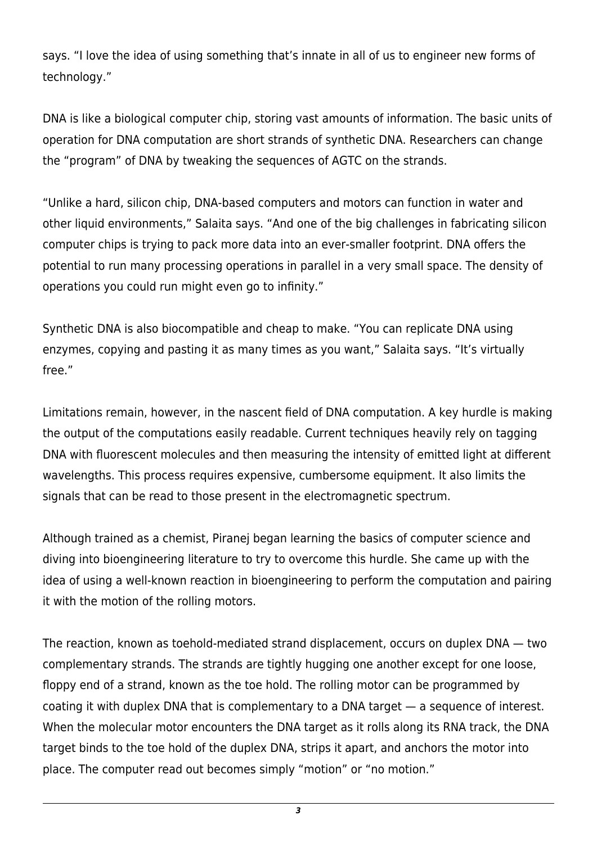says. "I love the idea of using something that's innate in all of us to engineer new forms of technology."

DNA is like a biological computer chip, storing vast amounts of information. The basic units of operation for DNA computation are short strands of synthetic DNA. Researchers can change the "program" of DNA by tweaking the sequences of AGTC on the strands.

"Unlike a hard, silicon chip, DNA-based computers and motors can function in water and other liquid environments," Salaita says. "And one of the big challenges in fabricating silicon computer chips is trying to pack more data into an ever-smaller footprint. DNA offers the potential to run many processing operations in parallel in a very small space. The density of operations you could run might even go to infinity."

Synthetic DNA is also biocompatible and cheap to make. "You can replicate DNA using enzymes, copying and pasting it as many times as you want," Salaita says. "It's virtually free."

Limitations remain, however, in the nascent field of DNA computation. A key hurdle is making the output of the computations easily readable. Current techniques heavily rely on tagging DNA with fluorescent molecules and then measuring the intensity of emitted light at different wavelengths. This process requires expensive, cumbersome equipment. It also limits the signals that can be read to those present in the electromagnetic spectrum.

Although trained as a chemist, Piranej began learning the basics of computer science and diving into bioengineering literature to try to overcome this hurdle. She came up with the idea of using a well-known reaction in bioengineering to perform the computation and pairing it with the motion of the rolling motors.

The reaction, known as toehold-mediated strand displacement, occurs on duplex DNA — two complementary strands. The strands are tightly hugging one another except for one loose, floppy end of a strand, known as the toe hold. The rolling motor can be programmed by coating it with duplex DNA that is complementary to a DNA target — a sequence of interest. When the molecular motor encounters the DNA target as it rolls along its RNA track, the DNA target binds to the toe hold of the duplex DNA, strips it apart, and anchors the motor into place. The computer read out becomes simply "motion" or "no motion."